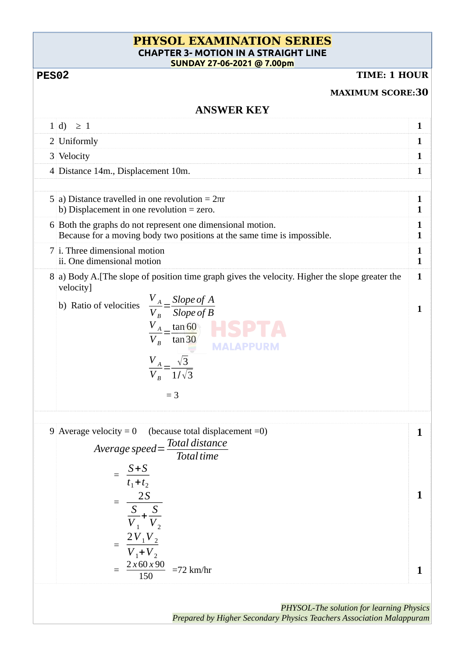## **PHYSOL EXAMINATION SERIES CHAPTER 3- MOTION IN A STRAIGHT LINE SUNDAY 27-06-2021 @ 7.00pm**

## **2**

## **TIME: 1 HOUR**

|                   | <b>MAXIMUM SCORE:30</b>                                                                                                                                                                                                                                                                                |                   |  |  |
|-------------------|--------------------------------------------------------------------------------------------------------------------------------------------------------------------------------------------------------------------------------------------------------------------------------------------------------|-------------------|--|--|
| <b>ANSWER KEY</b> |                                                                                                                                                                                                                                                                                                        |                   |  |  |
|                   | $1 d\rangle \geq 1$                                                                                                                                                                                                                                                                                    | 1                 |  |  |
|                   | 2 Uniformly                                                                                                                                                                                                                                                                                            | 1                 |  |  |
|                   | 3 Velocity                                                                                                                                                                                                                                                                                             | 1                 |  |  |
|                   | 4 Distance 14m., Displacement 10m.                                                                                                                                                                                                                                                                     | 1                 |  |  |
|                   | 5 a) Distance travelled in one revolution = $2πr$<br>b) Displacement in one revolution $=$ zero.                                                                                                                                                                                                       | 1<br>1            |  |  |
|                   | 6 Both the graphs do not represent one dimensional motion.<br>Because for a moving body two positions at the same time is impossible.                                                                                                                                                                  | 1<br>1            |  |  |
|                   | 7 i. Three dimensional motion<br>ii. One dimensional motion                                                                                                                                                                                                                                            | 1<br>1            |  |  |
|                   | 8 a) Body A. [The slope of position time graph gives the velocity. Higher the slope greater the<br>velocity]<br>$\frac{V_A}{V_B} = \frac{Slope of A}{Slope of B}$<br>b) Ratio of velocities<br>$\frac{V_A}{V_B} = \frac{\tan 60}{\tan 30}$<br>$\frac{V_A}{V_B} = \frac{\sqrt{3}}{1/\sqrt{3}}$<br>$=$ 3 | $\mathbf{1}$<br>1 |  |  |
|                   | 9 Average velocity = 0 (because total displacement = 0)<br>Average speed = $\frac{\text{Total distance}}{\text{c}}$<br><b>Total time</b><br>$= \frac{S+S}{t_1+t_2}$<br>$= \frac{2S}{\frac{S}{V_1} + \frac{S}{V_2}}$<br>= $\frac{2V_1V_2}{V_1+V_2}$<br>$\frac{2 \times 60 \times 90}{150}$ =72 km/hr    | Т<br>1<br>1       |  |  |
|                   |                                                                                                                                                                                                                                                                                                        |                   |  |  |

*PHYSOL-The solution for learning Physics Prepared by Higher Secondary Physics Teachers Association Malappuram*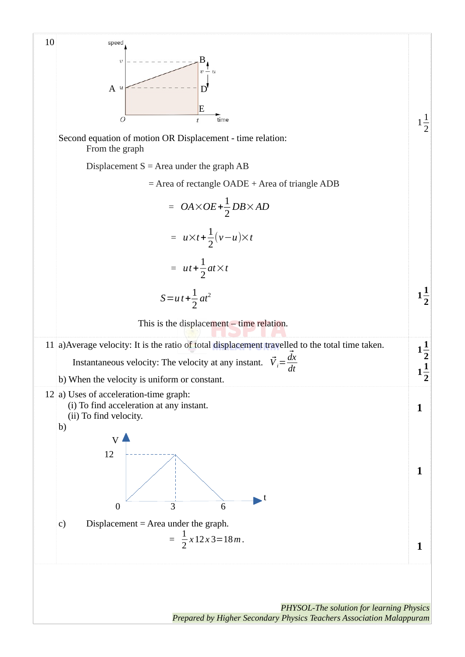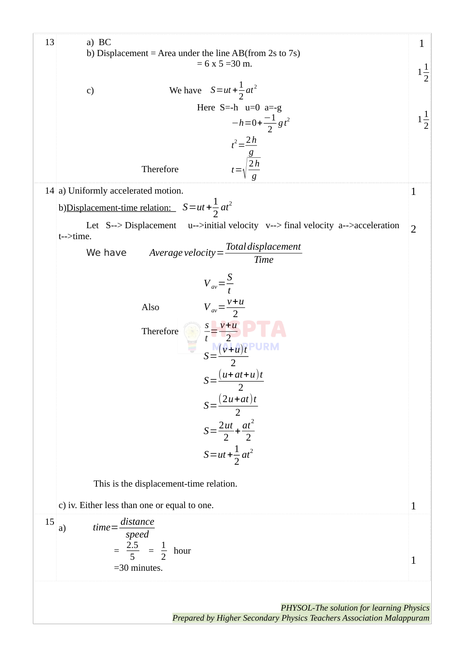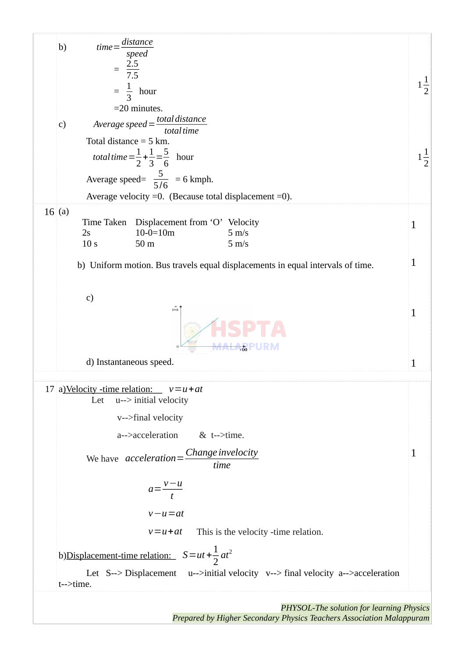

Prepared by Higher Secondary Physics Teachers Association Malappuram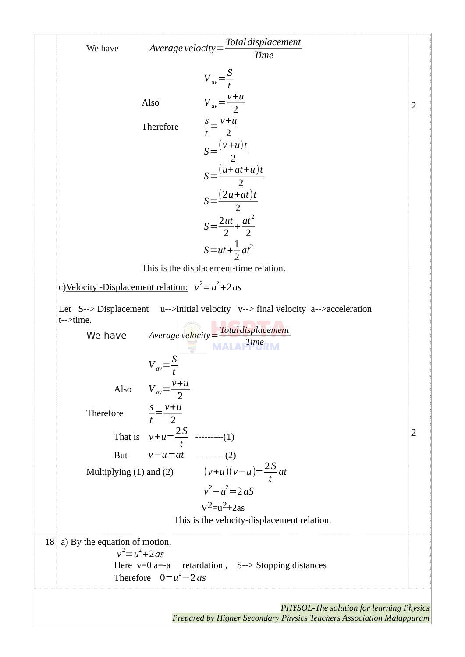| $Average velocity = \frac{Total displacement}{2}$<br>We have<br><b>Time</b>           |   |
|---------------------------------------------------------------------------------------|---|
| $V_{av} = \frac{S}{t}$                                                                |   |
| $V_{av} = \frac{v+u}{2}$<br>Also                                                      | 2 |
| $\frac{s}{t} = \frac{v+u}{2}$<br>Therefore                                            |   |
| $S=\frac{(v+u)t}{2}$                                                                  |   |
| $S=\frac{(u+at+u)t}{2}$                                                               |   |
| $S=\frac{(2u+at)t}{2}$                                                                |   |
| $S = \frac{2ut}{2} + \frac{at^2}{2}$                                                  |   |
| $S = ut + \frac{1}{2}at^2$                                                            |   |
| This is the displacement-time relation.                                               |   |
| c)Velocity -Displacement relation: $v^2 = u^2 + 2as$                                  |   |
| $u$ -->initial velocity v--> final velocity a-->acceleration<br>Let S--> Displacement |   |
| t-->time.<br>Average velocity = Total displacement<br>MALA Time<br>We have            |   |
| $V_{av} = \frac{S}{t}$                                                                |   |
| Also $V_{av} = \frac{v+u}{2}$                                                         |   |
| Therefore $\frac{s}{t} = \frac{v+u}{2}$                                               |   |
| That is $v+u=\frac{2S}{t}$ --------(1)                                                | 2 |
| But $v-u=at$ ---------(2)                                                             |   |
| Multiplying (1) and (2) $(v+u)(v-u) = \frac{2S}{t}at$                                 |   |
| $v^2 - u^2 = 2 aS$                                                                    |   |
| $V^2 = u^2 + 2as$<br>This is the velocity-displacement relation.                      |   |
| $18$ a) By the equation of motion,                                                    |   |
| $v^2 = u^2 + 2as$<br>Here $v=0$ a=-a retardation, S--> Stopping distances             |   |
| Therefore $0=u^2-2$ as                                                                |   |
| $DHV\subset$ The solution for learning Physics                                        |   |

PHYSOL-The solution for learning Physics<br>Prepared by Higher Secondary Physics Teachers Association Malappuram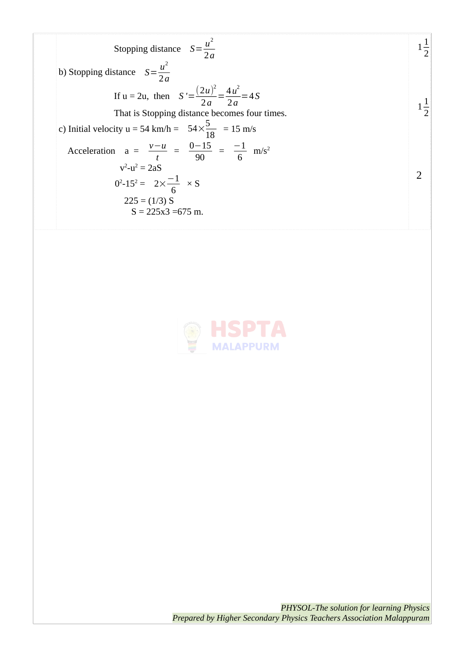Stopping distance 
$$
S = \frac{u^2}{2a}
$$

\nb) Stopping distance  $S = \frac{u^2}{2a}$ 

\nIf  $u = 2u$ , then  $S' = \frac{(2u)^2}{2a} = \frac{4u^2}{2a} = 4S$ 

\nThat is Stopping distance becomes four times.

\nc) Initial velocity  $u = 54 \text{ km/h} = 54 \times \frac{5}{18} = 15 \text{ m/s}$ 

\nAcceleration  $a = \frac{v - u}{t} = \frac{0 - 15}{90} = \frac{-1}{6} \text{ m/s}^2$ 

\n $v^2 - u^2 = 2aS$ 

\n $0^2 - 15^2 = 2 \times \frac{-1}{6} \times S$ 

\n $225 = (1/3) S$ 

\n $S = 225x3 = 675 \text{ m}$ 



PHYSOL-The solution for learning Physics<br>Prepared by Higher Secondary Physics Teachers Association Malappuram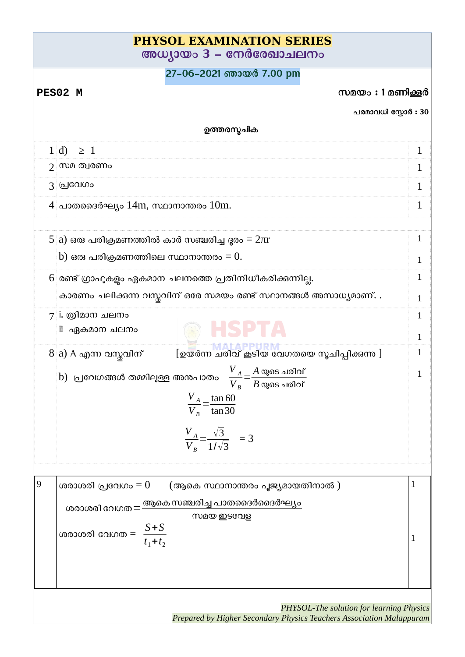| <b>PHYSOL EXAMINATION SERIES</b><br>അധ്യായം 3 – നേർരേഖാചലനം |                                                                                                                  |        |  |  |  |
|-------------------------------------------------------------|------------------------------------------------------------------------------------------------------------------|--------|--|--|--|
| 27-06-2021 ഞായർ 7.00 pm                                     |                                                                                                                  |        |  |  |  |
| സമയം: 1 മണിക്കൂർ<br>PES02 M                                 |                                                                                                                  |        |  |  |  |
|                                                             | പരമാവധി സ്കോർ : 30                                                                                               |        |  |  |  |
| ഉത്തരസ്മചിക                                                 |                                                                                                                  |        |  |  |  |
|                                                             | $1 d\rangle \geq 1$                                                                                              | 1      |  |  |  |
|                                                             | ു⊺സമ ത്വരണം                                                                                                      | 1      |  |  |  |
|                                                             | 3 വ്രവേറാ                                                                                                        | 1      |  |  |  |
|                                                             | $4$ പാതദൈർഘ്യം $14m$ , സ്ഥാനാന്തരം $10m$ .                                                                       | 1      |  |  |  |
|                                                             | 5 a) ഒരു പരിക്രമണത്തിൽ കാർ സഞ്ചരിച്ച ദൂരം = $2\pi r$                                                             | 1      |  |  |  |
|                                                             | $\mathrm b)$ ഒരു പരിക്രമണത്തിലെ സ്ഥാനാന്തരം = $0.1$                                                              | 1      |  |  |  |
|                                                             | 6 രണ്ട് ഗ്രാഫുകളും ഏകമാന ചലനത്തെ പ്രതിനിധീകരിക്കുന്നില്ല.                                                        | 1      |  |  |  |
|                                                             | കാരണം ചലിക്കന്ന വസ്തവിന് ഒരേ സമയം രണ്ട് സ്ഥാനങ്ങൾ അസാധ്യമാണ്. .                                                  | 1      |  |  |  |
|                                                             | 7 i. ത്രിമാന ചലനം<br>ii ഏകമാന ചലനം                                                                               | 1<br>1 |  |  |  |
|                                                             | 8 a) A എന്ന വസ്തവിന്<br>[ഉയർന്ന ചരിവ് കൂടിയ വേഗതയെ സൂചിപ്പിക്കന്നു ]                                             | 1      |  |  |  |
|                                                             | b) പ്രവേഗങ്ങൾ തമ്മിലുള്ള അനപാതം $\frac{V_A}{V} = \frac{A \cos \omega}{T}$                                        | 1      |  |  |  |
|                                                             | $V_{B}$<br>$B$ യുടെ ചരിവ്                                                                                        |        |  |  |  |
|                                                             | $\frac{V_A}{V_B} = \frac{\tan 60}{\tan 30}$                                                                      |        |  |  |  |
|                                                             | $\frac{V_A}{V_B} = \frac{\sqrt{3}}{1/\sqrt{3}}$ = 3                                                              |        |  |  |  |
| $\boldsymbol{9}$                                            | ശരാശരി പ്രവേഗം = $0$ (ആകെ സ്ഥാനാന്തരം പൂജ്യമായതിനാൽ )                                                            | 1      |  |  |  |
|                                                             | ശരാശരി വേഗത $=$ ആകെ സഞ്ചരിച്ച പാതദൈർദൈർഘ്യം                                                                      |        |  |  |  |
|                                                             | സമയ ഇടവേള                                                                                                        |        |  |  |  |
|                                                             | ശരാശരി വേഗത $= \frac{S+S}{t_1+t_2}$                                                                              |        |  |  |  |
|                                                             | PHYSOL-The solution for learning Physics<br>Prepared by Higher Secondary Physics Teachers Association Malappuram |        |  |  |  |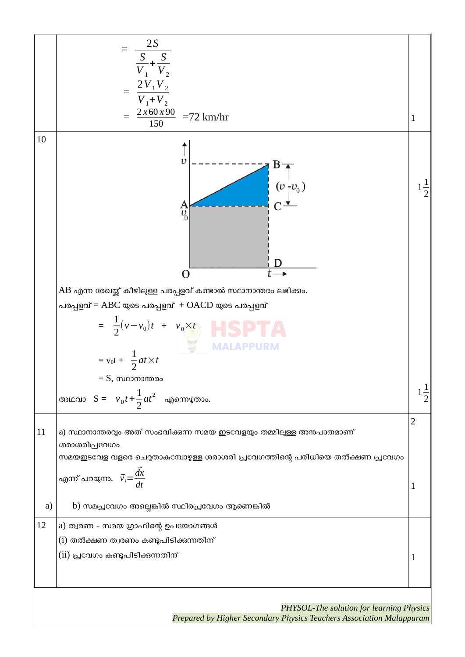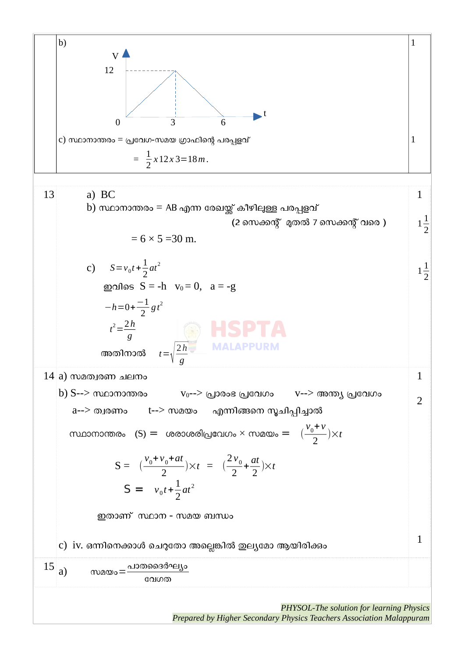

Prepared by Higher Secondary Physics Teachers Association Malappuram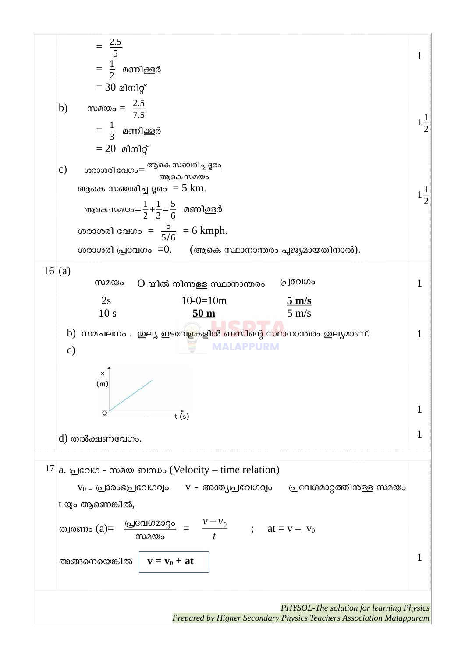